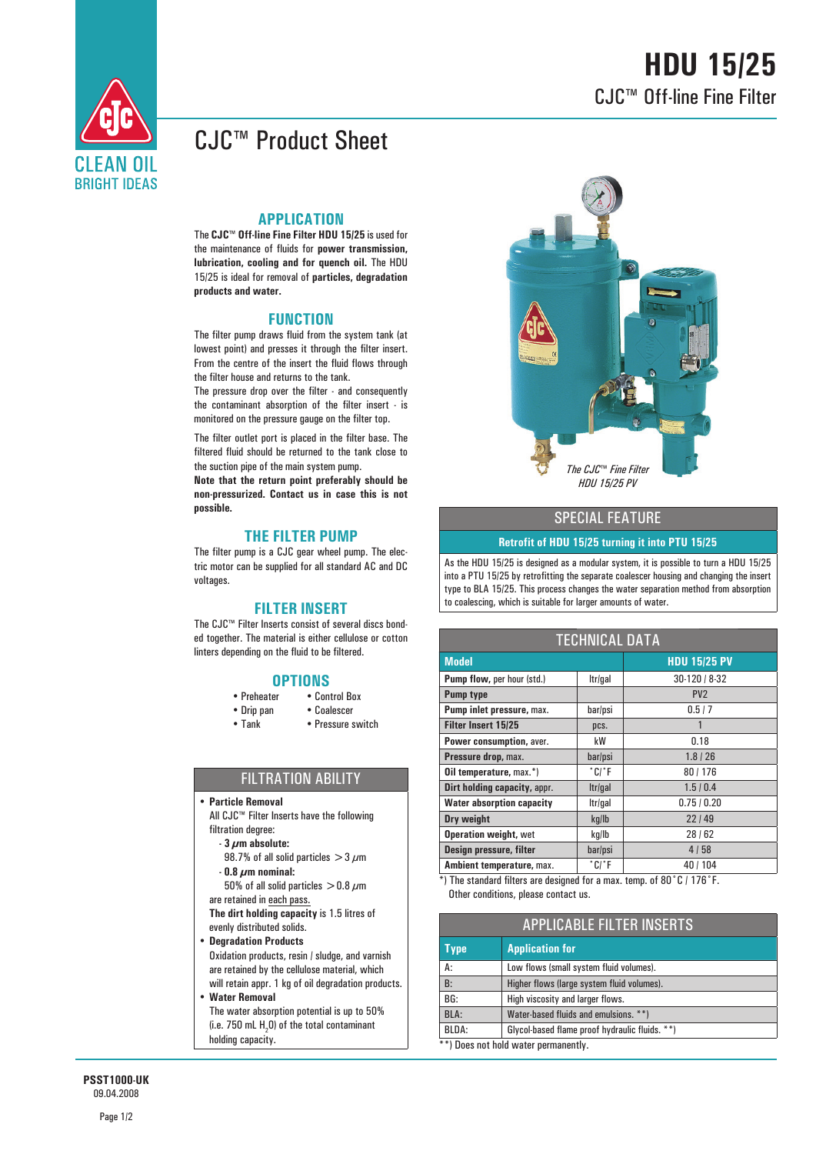

# **HDU 15/25** CJC™ Off-line Fine Filter

## CJC™ Product Sheet

#### **APPLICATION**

The **CJC™ Off-line Fine Filter HDU 15/25** is used for the maintenance of fluids for **power transmission, lubrication, cooling and for quench oil.** The HDU 15/25 is ideal for removal of **particles, degradation products and water.**

#### **FUNCTION**

The filter pump draws fluid from the system tank (at lowest point) and presses it through the filter insert. From the centre of the insert the fluid flows through the filter house and returns to the tank.

The pressure drop over the filter - and consequently the contaminant absorption of the filter insert - is monitored on the pressure gauge on the filter top.

The filter outlet port is placed in the filter base. The filtered fluid should be returned to the tank close to the suction pipe of the main system pump.

**Note that the return point preferably should be non-pressurized. Contact us in case this is not possible.**

### **THE FILTER PUMP**

The filter pump is a CJC gear wheel pump. The electric motor can be supplied for all standard AC and DC voltages.

### **FILTER INSERT**

The CJC™ Filter Inserts consist of several discs bonded together. The material is either cellulose or cotton linters depending on the fluid to be filtered.

- **OPTIONS**<br>• Preheater Con • Control Box
- Drip pan Coalescer
- Tank Pressure switch

### FILTRATION ABILITY

y **Particle Removal**

 All CJC™ Filter Inserts have the following filtration degree:

- **3 μm absolute:**
- 98.7% of all solid particles  $>$  3  $\mu$ m **- 0.8 μm nominal:**
- 50% of all solid particles  $>$  0.8  $\mu$ m are retained in each pass.

**The dirt holding capacity** is 1.5 litres of evenly distributed solids.

- y **Degradation Products** Oxidation products, resin / sludge, and varnish are retained by the cellulose material, which
- will retain appr. 1 kg of oil degradation products. y **Water Removal** The water absorption potential is up to 50%

(i.e. 750 mL  $H_2$ 0) of the total contaminant holding capacity.



### SPECIAL FEATURE

#### **Retrofit of HDU 15/25 turning it into PTU 15/25**

As the HDU 15/25 is designed as a modular system, it is possible to turn a HDU 15/25 into a PTU 15/25 by retrofitting the separate coalescer housing and changing the insert type to BLA 15/25. This process changes the water separation method from absorption to coalescing, which is suitable for larger amounts of water.

| <b>TECHNICAL DATA</b>             |                            |                     |  |
|-----------------------------------|----------------------------|---------------------|--|
| <b>Model</b>                      |                            | <b>HDU 15/25 PV</b> |  |
| <b>Pump flow, per hour (std.)</b> | Itr/gal                    | 30-120 / 8-32       |  |
| <b>Pump type</b>                  |                            | PV <sub>2</sub>     |  |
| Pump inlet pressure, max.         | bar/psi                    | 0.5/7               |  |
| <b>Filter Insert 15/25</b>        | pcs.                       | 1                   |  |
| Power consumption, aver.          | kW                         | 0.18                |  |
| Pressure drop, max.               | bar/psi                    | 1.8 / 26            |  |
| <b>Oil temperature, max.*)</b>    | $^{\circ}$ C/ $^{\circ}$ F | 80/176              |  |
| Dirt holding capacity, appr.      | Itr/gal                    | 1.5/0.4             |  |
| <b>Water absorption capacity</b>  | Itr/gal                    | 0.75/0.20           |  |
| Dry weight                        | kg/lb                      | 22149               |  |
| <b>Operation weight, wet</b>      | kg/lb                      | 28 / 62             |  |
| Design pressure, filter           | bar/psi                    | 4/58                |  |
| Ambient temperature, max.         | $^{\circ}$ C/ $^{\circ}$ F | 40 / 104            |  |

\*) The standard filters are designed for a max. temp. of 80˚C / 176˚F. Other conditions, please contact us.

| <b>APPLICABLE FILTER INSERTS</b>     |                                                |  |
|--------------------------------------|------------------------------------------------|--|
| <b>Type</b>                          | <b>Application for</b>                         |  |
| А:                                   | Low flows (small system fluid volumes).        |  |
| <b>B:</b>                            | Higher flows (large system fluid volumes).     |  |
| BG:                                  | High viscosity and larger flows.               |  |
| BLA:                                 | Water-based fluids and emulsions. **)          |  |
| BLDA:                                | Glycol-based flame proof hydraulic fluids. **) |  |
| **) Does not hold water permanently. |                                                |  |

**PSST1000-UK** 09.04.2008